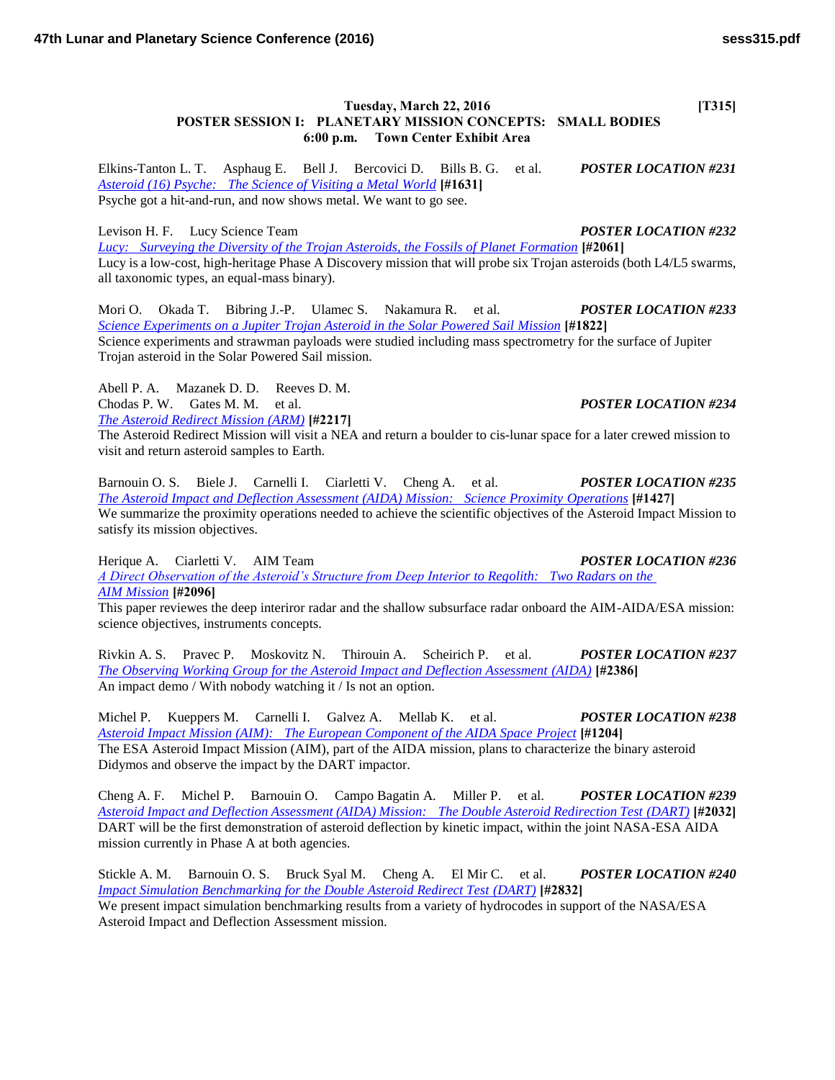## **Tuesday, March 22, 2016** [T315] **POSTER SESSION I: PLANETARY MISSION CONCEPTS: SMALL BODIES 6:00 p.m. Town Center Exhibit Area**

Elkins-Tanton L. T. Asphaug E. Bell J. Bercovici D. Bills B. G. et al. *POSTER LOCATION #231 [Asteroid \(16\) Psyche: The Science of Visiting a Metal World](http://www.hou.usra.edu/meetings/lpsc2016/pdf/1631.pdf)* **[#1631]** Psyche got a hit-and-run, and now shows metal. We want to go see.

Levison H. F. Lucy Science Team *POSTER LOCATION #232*

*[Lucy: Surveying the Diversity of the Trojan Asteroids, the Fossils of Planet Formation](http://www.hou.usra.edu/meetings/lpsc2016/pdf/2061.pdf)* **[#2061]** Lucy is a low-cost, high-heritage Phase A Discovery mission that will probe six Trojan asteroids (both L4/L5 swarms, all taxonomic types, an equal-mass binary).

Mori O. Okada T. Bibring J.-P. Ulamec S. Nakamura R. et al. *POSTER LOCATION #233 [Science Experiments on a Jupiter Trojan Asteroid in the Solar Powered Sail Mission](http://www.hou.usra.edu/meetings/lpsc2016/pdf/1822.pdf)* **[#1822]** Science experiments and strawman payloads were studied including mass spectrometry for the surface of Jupiter Trojan asteroid in the Solar Powered Sail mission.

Abell P. A. Mazanek D. D. Reeves D. M. Chodas P. W. Gates M. M. et al. *POSTER LOCATION #234*

*[The Asteroid Redirect Mission \(ARM\)](http://www.hou.usra.edu/meetings/lpsc2016/pdf/2217.pdf)* **[#2217]**

The Asteroid Redirect Mission will visit a NEA and return a boulder to cis-lunar space for a later crewed mission to visit and return asteroid samples to Earth.

Barnouin O. S. Biele J. Carnelli I. Ciarletti V. Cheng A. et al. *POSTER LOCATION #235 [The Asteroid Impact and Deflection Assessment \(AIDA\) Mission: Science Proximity Operations](http://www.hou.usra.edu/meetings/lpsc2016/pdf/1427.pdf)* **[#1427]** We summarize the proximity operations needed to achieve the scientific objectives of the Asteroid Impact Mission to satisfy its mission objectives.

Herique A. Ciarletti V. AIM Team *POSTER LOCATION #236 [A Direct Observation of the Asteroid's Structure from Deep Interior to Regolith: Two Radars on the](http://www.hou.usra.edu/meetings/lpsc2016/pdf/2096.pdf)  [AIM Mission](http://www.hou.usra.edu/meetings/lpsc2016/pdf/2096.pdf)* **[#2096]**

This paper reviewes the deep interiror radar and the shallow subsurface radar onboard the AIM-AIDA/ESA mission: science objectives, instruments concepts.

Rivkin A. S. Pravec P. Moskovitz N. Thirouin A. Scheirich P. et al. *POSTER LOCATION #237 [The Observing Working Group for the Asteroid Impact and Deflection Assessment \(AIDA\)](http://www.hou.usra.edu/meetings/lpsc2016/pdf/2386.pdf)* **[#2386]** An impact demo / With nobody watching it / Is not an option.

Michel P. Kueppers M. Carnelli I. Galvez A. Mellab K. et al. *POSTER LOCATION #238 [Asteroid Impact Mission \(AIM\): The European Component of the AIDA Space Project](http://www.hou.usra.edu/meetings/lpsc2016/pdf/1204.pdf)* **[#1204]** The ESA Asteroid Impact Mission (AIM), part of the AIDA mission, plans to characterize the binary asteroid Didymos and observe the impact by the DART impactor.

Cheng A. F. Michel P. Barnouin O. Campo Bagatin A. Miller P. et al. *POSTER LOCATION #239 [Asteroid Impact and Deflection Assessment \(AIDA\) Mission: The Double Asteroid Redirection Test \(DART\)](http://www.hou.usra.edu/meetings/lpsc2016/pdf/2032.pdf)* **[#2032]** DART will be the first demonstration of asteroid deflection by kinetic impact, within the joint NASA-ESA AIDA mission currently in Phase A at both agencies.

Stickle A. M. Barnouin O. S. Bruck Syal M. Cheng A. El Mir C. et al. *POSTER LOCATION #240 [Impact Simulation Benchmarking for the Double Asteroid Redirect Test \(DART\)](http://www.hou.usra.edu/meetings/lpsc2016/pdf/2832.pdf)* **[#2832]** We present impact simulation benchmarking results from a variety of hydrocodes in support of the NASA/ESA Asteroid Impact and Deflection Assessment mission.